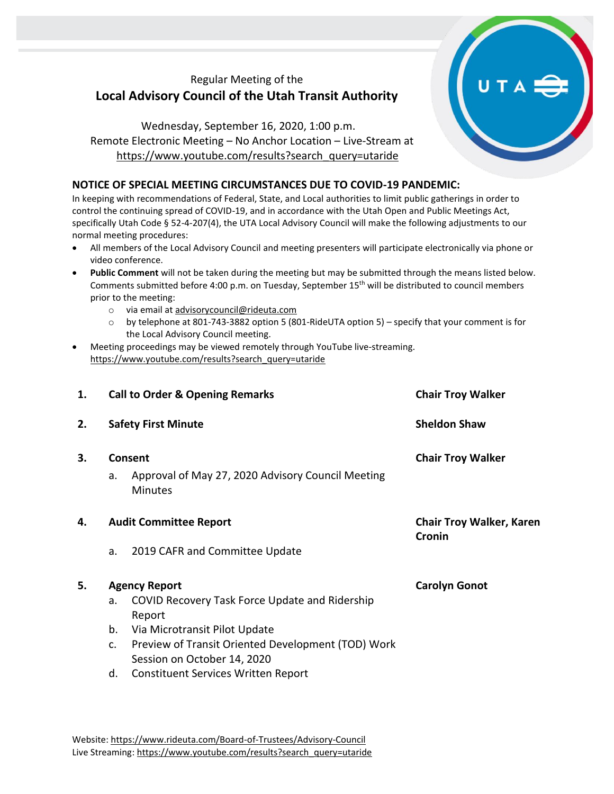## Regular Meeting of the **Local Advisory Council of the Utah Transit Authority**

Wednesday, September 16, 2020, 1:00 p.m. Remote Electronic Meeting – No Anchor Location – Live-Stream at [https://www.youtube.com/results?search\\_query=utaride](https://www.youtube.com/results?search_query=utaride)

## **NOTICE OF SPECIAL MEETING CIRCUMSTANCES DUE TO COVID-19 PANDEMIC:**

In keeping with recommendations of Federal, State, and Local authorities to limit public gatherings in order to control the continuing spread of COVID-19, and in accordance with the Utah Open and Public Meetings Act, specifically Utah Code § 52-4-207(4), the UTA Local Advisory Council will make the following adjustments to our normal meeting procedures:

- All members of the Local Advisory Council and meeting presenters will participate electronically via phone or video conference.
- **Public Comment** will not be taken during the meeting but may be submitted through the means listed below. Comments submitted before 4:00 p.m. on Tuesday, September 15th will be distributed to council members prior to the meeting:
	- o via email at [advisorycouncil@rideuta.com](mailto:advisorycouncil@rideuta.com)
	- o by telephone at 801-743-3882 option 5 (801-RideUTA option 5) specify that your comment is for the Local Advisory Council meeting.
- Meeting proceedings may be viewed remotely through YouTube live-streaming. [https://www.youtube.com/results?search\\_query=utaride](https://www.youtube.com/results?search_query=utaride)

| 1. | <b>Call to Order &amp; Opening Remarks</b> |                                                                                       | <b>Chair Troy Walker</b>                  |
|----|--------------------------------------------|---------------------------------------------------------------------------------------|-------------------------------------------|
| 2. | <b>Safety First Minute</b>                 |                                                                                       | <b>Sheldon Shaw</b>                       |
| 3. | a.                                         | <b>Consent</b><br>Approval of May 27, 2020 Advisory Council Meeting<br><b>Minutes</b> | <b>Chair Troy Walker</b>                  |
| 4. | <b>Audit Committee Report</b>              |                                                                                       | <b>Chair Troy Walker, Karen</b><br>Cronin |
|    | a.                                         | 2019 CAFR and Committee Update                                                        |                                           |
| 5. | <b>Agency Report</b>                       |                                                                                       | <b>Carolyn Gonot</b>                      |
|    | a.                                         | <b>COVID Recovery Task Force Update and Ridership</b><br>Report                       |                                           |
|    | b.                                         | Via Microtransit Pilot Update                                                         |                                           |
|    | c.                                         | Preview of Transit Oriented Development (TOD) Work                                    |                                           |
|    |                                            | Session on October 14, 2020                                                           |                                           |
|    | d.                                         | <b>Constituent Services Written Report</b>                                            |                                           |